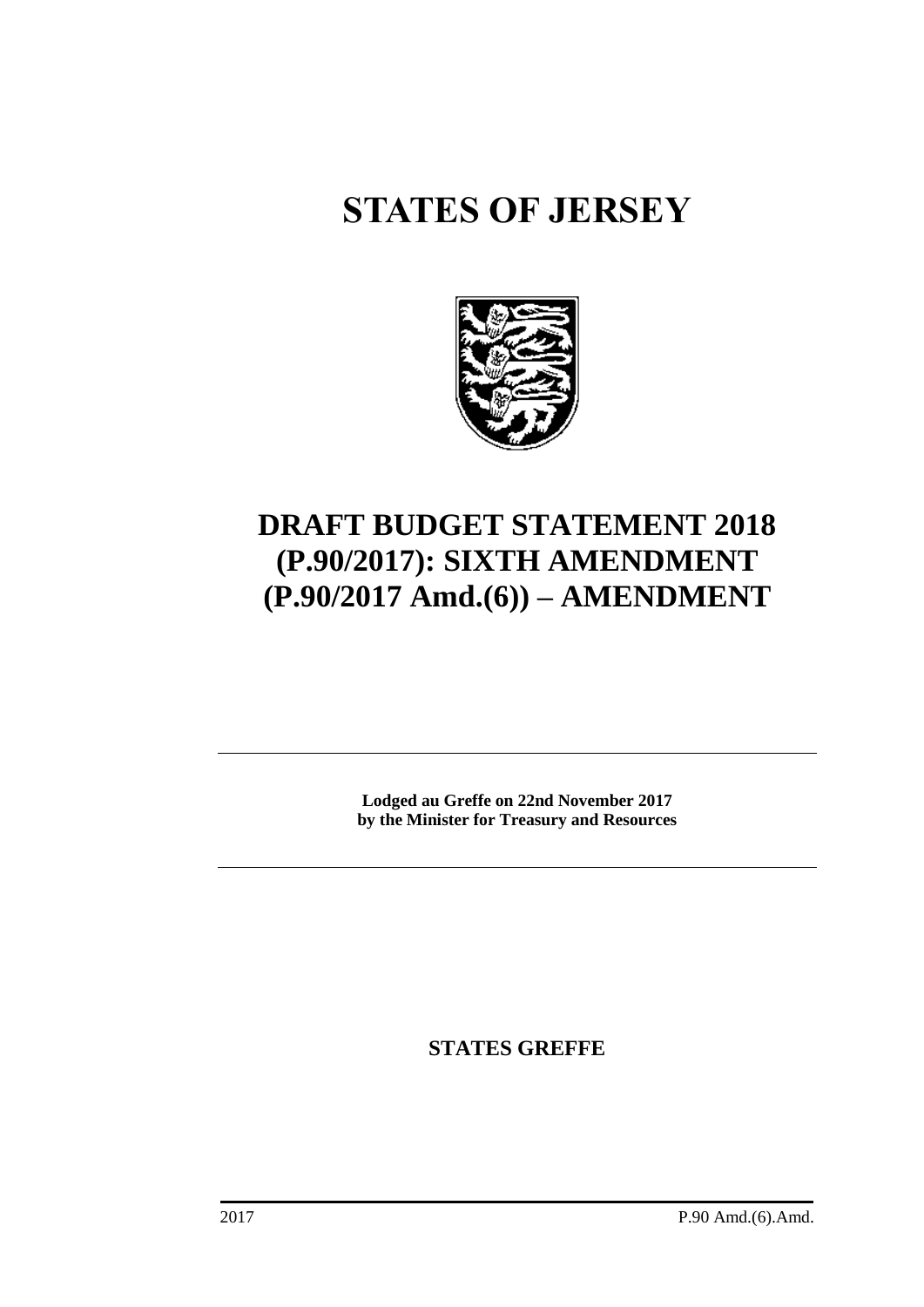# **STATES OF JERSEY**



# **DRAFT BUDGET STATEMENT 2018 (P.90/2017): SIXTH AMENDMENT (P.90/2017 Amd.(6)) – AMENDMENT**

**Lodged au Greffe on 22nd November 2017 by the Minister for Treasury and Resources**

**STATES GREFFE**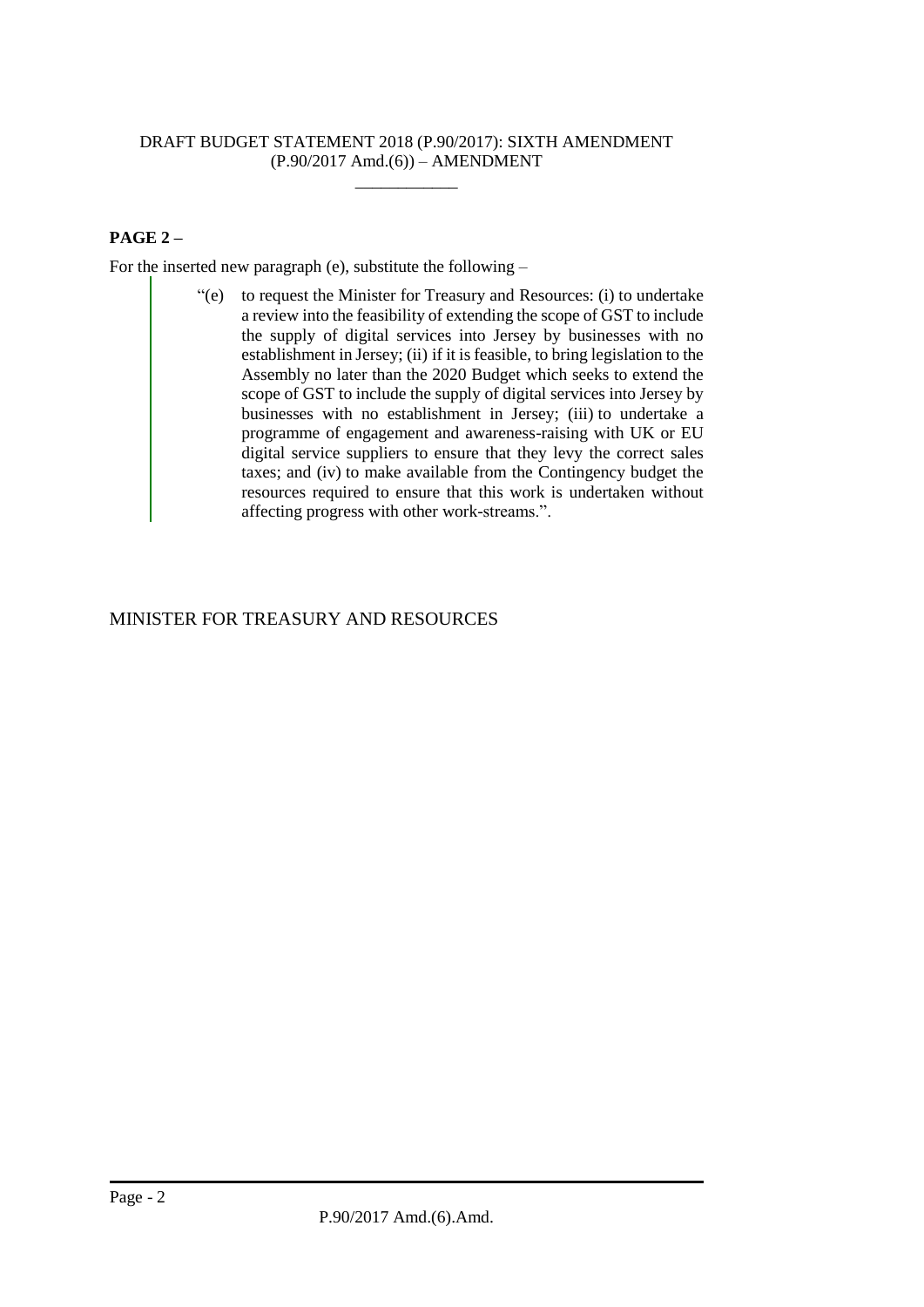## DRAFT BUDGET STATEMENT 2018 (P.90/2017): SIXTH AMENDMENT (P.90/2017 Amd.(6)) – AMENDMENT

 $\overline{\phantom{a}}$  , where  $\overline{\phantom{a}}$ 

# **PAGE 2 –**

For the inserted new paragraph (e), substitute the following –

"(e) to request the Minister for Treasury and Resources: (i) to undertake a review into the feasibility of extending the scope of GST to include the supply of digital services into Jersey by businesses with no establishment in Jersey; (ii) if it is feasible, to bring legislation to the Assembly no later than the 2020 Budget which seeks to extend the scope of GST to include the supply of digital services into Jersey by businesses with no establishment in Jersey; (iii) to undertake a programme of engagement and awareness-raising with UK or EU digital service suppliers to ensure that they levy the correct sales taxes; and (iv) to make available from the Contingency budget the resources required to ensure that this work is undertaken without affecting progress with other work-streams.".

# MINISTER FOR TREASURY AND RESOURCES